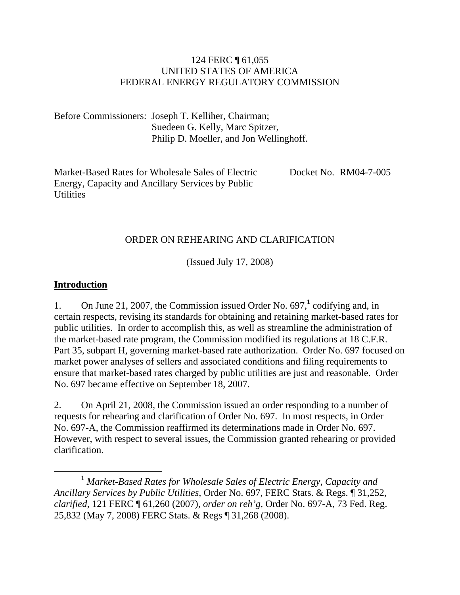#### 124 FERC ¶ 61,055 UNITED STATES OF AMERICA FEDERAL ENERGY REGULATORY COMMISSION

Before Commissioners: Joseph T. Kelliher, Chairman; Suedeen G. Kelly, Marc Spitzer, Philip D. Moeller, and Jon Wellinghoff.

Market-Based Rates for Wholesale Sales of Electric Energy, Capacity and Ancillary Services by Public **Utilities** Docket No. RM04-7-005

### ORDER ON REHEARING AND CLARIFICATION

(Issued July 17, 2008)

#### **Introduction**

1. On June 21, 2007, the Commission issued Order No. 697,<sup>1</sup> codifying and, in certain respects, revising its standards for obtaining and retaining market-based rates for public utilities. In order to accomplish this, as well as streamline the administration of the market-based rate program, the Commission modified its regulations at 18 C.F.R. Part 35, subpart H, governing market-based rate authorization. Order No. 697 focused on market power analyses of sellers and associated conditions and filing requirements to ensure that market-based rates charged by public utilities are just and reasonable. Order No. 697 became effective on September 18, 2007.

2. On April 21, 2008, the Commission issued an order responding to a number of requests for rehearing and clarification of Order No. 697. In most respects, in Order No. 697-A, the Commission reaffirmed its determinations made in Order No. 697. However, with respect to several issues, the Commission granted rehearing or provided clarification.

**<sup>1</sup>** *Market-Based Rates for Wholesale Sales of Electric Energy, Capacity and Ancillary Services by Public Utilities*, Order No. 697, FERC Stats. & Regs. ¶ 31,252, *clarified*, 121 FERC ¶ 61,260 (2007), *order on reh'g*, Order No. 697-A, 73 Fed. Reg. 25,832 (May 7, 2008) FERC Stats. & Regs ¶ 31,268 (2008).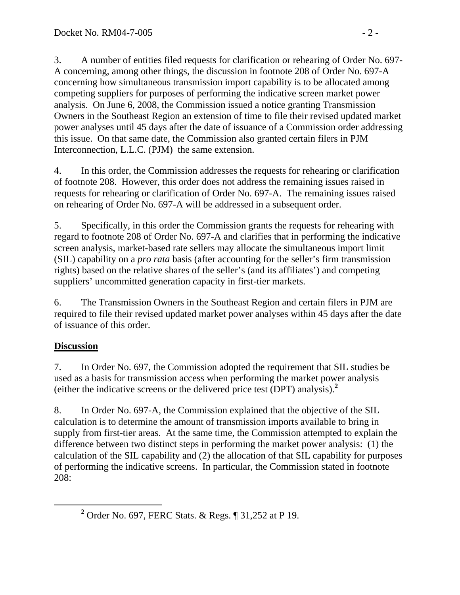3. A number of entities filed requests for clarification or rehearing of Order No. 697- A concerning, among other things, the discussion in footnote 208 of Order No. 697-A concerning how simultaneous transmission import capability is to be allocated among competing suppliers for purposes of performing the indicative screen market power analysis. On June 6, 2008, the Commission issued a notice granting Transmission Owners in the Southeast Region an extension of time to file their revised updated market power analyses until 45 days after the date of issuance of a Commission order addressing this issue. On that same date, the Commission also granted certain filers in PJM Interconnection, L.L.C. (PJM) the same extension.

4. In this order, the Commission addresses the requests for rehearing or clarification of footnote 208. However, this order does not address the remaining issues raised in requests for rehearing or clarification of Order No. 697-A. The remaining issues raised on rehearing of Order No. 697-A will be addressed in a subsequent order.

5. Specifically, in this order the Commission grants the requests for rehearing with regard to footnote 208 of Order No. 697-A and clarifies that in performing the indicative screen analysis, market-based rate sellers may allocate the simultaneous import limit (SIL) capability on a *pro rata* basis (after accounting for the seller's firm transmission rights) based on the relative shares of the seller's (and its affiliates') and competing suppliers' uncommitted generation capacity in first-tier markets.

6. The Transmission Owners in the Southeast Region and certain filers in PJM are required to file their revised updated market power analyses within 45 days after the date of issuance of this order.

# **Discussion**

7. In Order No. 697, the Commission adopted the requirement that SIL studies be used as a basis for transmission access when performing the market power analysis (either the indicative screens or the delivered price test (DPT) analysis).**<sup>2</sup>**

8. In Order No. 697-A, the Commission explained that the objective of the SIL calculation is to determine the amount of transmission imports available to bring in supply from first-tier areas. At the same time, the Commission attempted to explain the difference between two distinct steps in performing the market power analysis: (1) the calculation of the SIL capability and (2) the allocation of that SIL capability for purposes of performing the indicative screens. In particular, the Commission stated in footnote 208:

**<sup>2</sup>** <sup>2</sup> Order No. 697, FERC Stats. & Regs. ¶ 31,252 at P 19.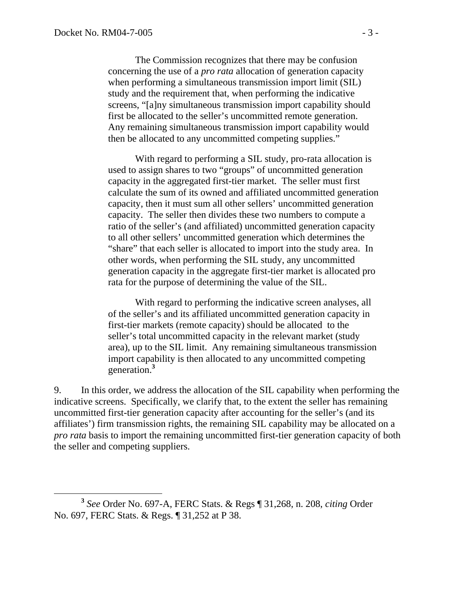The Commission recognizes that there may be confusion concerning the use of a *pro rata* allocation of generation capacity when performing a simultaneous transmission import limit (SIL) study and the requirement that, when performing the indicative screens, "[a]ny simultaneous transmission import capability should first be allocated to the seller's uncommitted remote generation. Any remaining simultaneous transmission import capability would then be allocated to any uncommitted competing supplies."

With regard to performing a SIL study, pro-rata allocation is used to assign shares to two "groups" of uncommitted generation capacity in the aggregated first-tier market. The seller must first calculate the sum of its owned and affiliated uncommitted generation capacity, then it must sum all other sellers' uncommitted generation capacity. The seller then divides these two numbers to compute a ratio of the seller's (and affiliated) uncommitted generation capacity to all other sellers' uncommitted generation which determines the "share" that each seller is allocated to import into the study area. In other words, when performing the SIL study, any uncommitted generation capacity in the aggregate first-tier market is allocated pro rata for the purpose of determining the value of the SIL.

With regard to performing the indicative screen analyses, all of the seller's and its affiliated uncommitted generation capacity in first-tier markets (remote capacity) should be allocated to the seller's total uncommitted capacity in the relevant market (study area), up to the SIL limit. Any remaining simultaneous transmission import capability is then allocated to any uncommitted competing generation.**<sup>3</sup>**

9. In this order, we address the allocation of the SIL capability when performing the indicative screens. Specifically, we clarify that, to the extent the seller has remaining uncommitted first-tier generation capacity after accounting for the seller's (and its affiliates') firm transmission rights, the remaining SIL capability may be allocated on a *pro rata* basis to import the remaining uncommitted first-tier generation capacity of both the seller and competing suppliers.

**<sup>3</sup>** *See* Order No. 697-A, FERC Stats. & Regs ¶ 31,268, n. 208, *citing* Order No. 697, FERC Stats. & Regs. ¶ 31,252 at P 38.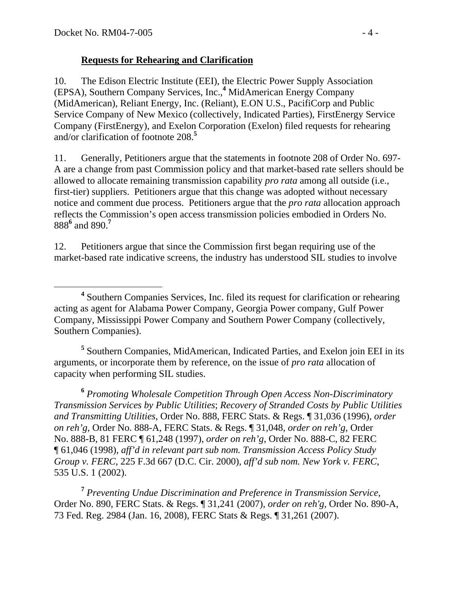## **Requests for Rehearing and Clarification**

10. The Edison Electric Institute (EEI), the Electric Power Supply Association (EPSA), Southern Company Services, Inc.,**<sup>4</sup>** MidAmerican Energy Company (MidAmerican), Reliant Energy, Inc. (Reliant), E.ON U.S., PacifiCorp and Public Service Company of New Mexico (collectively, Indicated Parties), FirstEnergy Service Company (FirstEnergy), and Exelon Corporation (Exelon) filed requests for rehearing and/or clarification of footnote 208.**<sup>5</sup>**

11. Generally, Petitioners argue that the statements in footnote 208 of Order No. 697- A are a change from past Commission policy and that market-based rate sellers should be allowed to allocate remaining transmission capability *pro rata* among all outside (i.e., first-tier) suppliers. Petitioners argue that this change was adopted without necessary notice and comment due process. Petitioners argue that the *pro rata* allocation approach reflects the Commission's open access transmission policies embodied in Orders No. 888**<sup>6</sup>** and 890.**<sup>7</sup>**

12. Petitioners argue that since the Commission first began requiring use of the market-based rate indicative screens, the industry has understood SIL studies to involve

<sup>5</sup> Southern Companies, MidAmerican, Indicated Parties, and Exelon join EEI in its arguments, or incorporate them by reference, on the issue of *pro rata* allocation of capacity when performing SIL studies.

**<sup>6</sup>** *Promoting Wholesale Competition Through Open Access Non-Discriminatory Transmission Services by Public Utilities*; *Recovery of Stranded Costs by Public Utilities and Transmitting Utilities*, Order No. 888, FERC Stats. & Regs. ¶ 31,036 (1996), *order on reh'g*, Order No. 888-A, FERC Stats. & Regs. ¶ 31,048, *order on reh'g*, Order No. 888-B, 81 FERC ¶ 61,248 (1997), *order on reh'g*, Order No. 888-C, 82 FERC ¶ 61,046 (1998), *aff'd in relevant part sub nom. Transmission Access Policy Study Group v. FERC*, 225 F.3d 667 (D.C. Cir. 2000), *aff'd sub nom. New York v. FERC*, 535 U.S. 1 (2002).

**<sup>7</sup>** *Preventing Undue Discrimination and Preference in Transmission Service*, Order No. 890, FERC Stats. & Regs. ¶ 31,241 (2007), *order on reh'g*, Order No. 890-A, 73 Fed. Reg. 2984 (Jan. 16, 2008), FERC Stats & Regs. ¶ 31,261 (2007).

**<sup>4</sup>** <sup>4</sup> Southern Companies Services, Inc. filed its request for clarification or rehearing acting as agent for Alabama Power Company, Georgia Power company, Gulf Power Company, Mississippi Power Company and Southern Power Company (collectively, Southern Companies).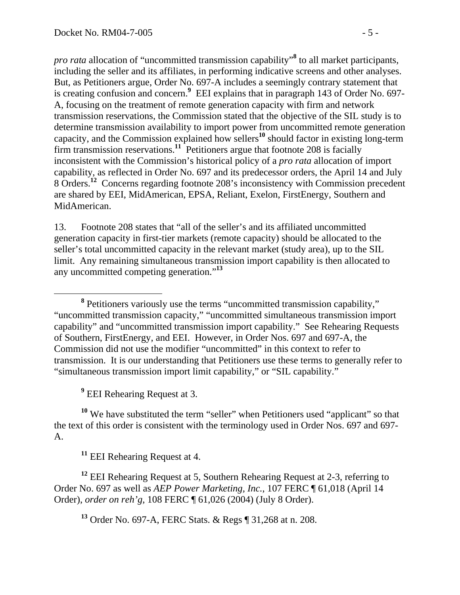*pro rata* allocation of "uncommitted transmission capability"**<sup>8</sup>** to all market participants, including the seller and its affiliates, in performing indicative screens and other analyses. But, as Petitioners argue, Order No. 697-A includes a seemingly contrary statement that is creating confusion and concern.**<sup>9</sup>** EEI explains that in paragraph 143 of Order No. 697- A, focusing on the treatment of remote generation capacity with firm and network transmission reservations, the Commission stated that the objective of the SIL study is to determine transmission availability to import power from uncommitted remote generation capacity, and the Commission explained how sellers**<sup>10</sup>** should factor in existing long-term firm transmission reservations.**<sup>11</sup>** Petitioners argue that footnote 208 is facially inconsistent with the Commission's historical policy of a *pro rata* allocation of import capability, as reflected in Order No. 697 and its predecessor orders, the April 14 and July 8 Orders.**<sup>12</sup>** Concerns regarding footnote 208's inconsistency with Commission precedent are shared by EEI, MidAmerican, EPSA, Reliant, Exelon, FirstEnergy, Southern and MidAmerican.

13. Footnote 208 states that "all of the seller's and its affiliated uncommitted generation capacity in first-tier markets (remote capacity) should be allocated to the seller's total uncommitted capacity in the relevant market (study area), up to the SIL limit. Any remaining simultaneous transmission import capability is then allocated to any uncommitted competing generation."**<sup>13</sup>**

<sup>9</sup> EEI Rehearing Request at 3.

<sup>10</sup> We have substituted the term "seller" when Petitioners used "applicant" so that the text of this order is consistent with the terminology used in Order Nos. 697 and 697- A.

**<sup>11</sup>** EEI Rehearing Request at 4.

**<sup>12</sup>** EEI Rehearing Request at 5, Southern Rehearing Request at 2-3, referring to Order No. 697 as well as *AEP Power Marketing, Inc.*, 107 FERC ¶ 61,018 (April 14 Order), *order on reh'g*, 108 FERC ¶ 61,026 (2004) (July 8 Order).

**<sup>13</sup>** Order No. 697-A, FERC Stats. & Regs ¶ 31,268 at n. 208.

**<sup>8</sup>** <sup>8</sup> Petitioners variously use the terms "uncommitted transmission capability," "uncommitted transmission capacity," "uncommitted simultaneous transmission import capability" and "uncommitted transmission import capability." See Rehearing Requests of Southern, FirstEnergy, and EEI. However, in Order Nos. 697 and 697-A, the Commission did not use the modifier "uncommitted" in this context to refer to transmission. It is our understanding that Petitioners use these terms to generally refer to "simultaneous transmission import limit capability," or "SIL capability."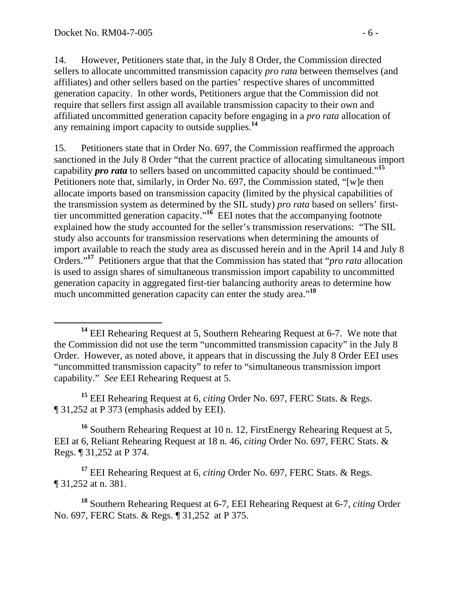14. However, Petitioners state that, in the July 8 Order, the Commission directed sellers to allocate uncommitted transmission capacity *pro rata* between themselves (and affiliates) and other sellers based on the parties' respective shares of uncommitted generation capacity. In other words, Petitioners argue that the Commission did not require that sellers first assign all available transmission capacity to their own and affiliated uncommitted generation capacity before engaging in a *pro rata* allocation of any remaining import capacity to outside supplies.**<sup>14</sup>**

15. Petitioners state that in Order No. 697, the Commission reaffirmed the approach sanctioned in the July 8 Order "that the current practice of allocating simultaneous import capability *pro rata* to sellers based on uncommitted capacity should be continued."**<sup>15</sup>** Petitioners note that, similarly, in Order No. 697, the Commission stated, "[w]e then allocate imports based on transmission capacity (limited by the physical capabilities of the transmission system as determined by the SIL study) *pro rata* based on sellers' firsttier uncommitted generation capacity."**<sup>16</sup>** EEI notes that the accompanying footnote explained how the study accounted for the seller's transmission reservations: "The SIL study also accounts for transmission reservations when determining the amounts of import available to reach the study area as discussed herein and in the April 14 and July 8 Orders."**<sup>17</sup>** Petitioners argue that that the Commission has stated that "*pro rata* allocation is used to assign shares of simultaneous transmission import capability to uncommitted generation capacity in aggregated first-tier balancing authority areas to determine how much uncommitted generation capacity can enter the study area."**<sup>18</sup>**

**<sup>15</sup>** EEI Rehearing Request at 6, *citing* Order No. 697, FERC Stats. & Regs. ¶ 31,252 at P 373 (emphasis added by EEI).

**<sup>16</sup>** Southern Rehearing Request at 10 n. 12, FirstEnergy Rehearing Request at 5, EEI at 6, Reliant Rehearing Request at 18 n. 46, *citing* Order No. 697, FERC Stats. & Regs. ¶ 31,252 at P 374.

**<sup>17</sup>** EEI Rehearing Request at 6, *citing* Order No. 697, FERC Stats. & Regs. ¶ 31,252 at n. 381.

**<sup>18</sup>** Southern Rehearing Request at 6-7, EEI Rehearing Request at 6-7, *citing* Order No. 697, FERC Stats. & Regs. ¶ 31,252 at P 375.

**<sup>14</sup>** EEI Rehearing Request at 5, Southern Rehearing Request at 6-7. We note that the Commission did not use the term "uncommitted transmission capacity" in the July 8 Order. However, as noted above, it appears that in discussing the July 8 Order EEI uses "uncommitted transmission capacity" to refer to "simultaneous transmission import capability." *See* EEI Rehearing Request at 5.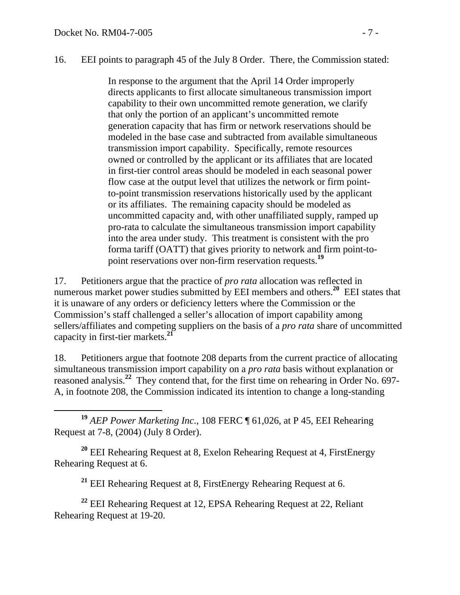### 16. EEI points to paragraph 45 of the July 8 Order. There, the Commission stated:

In response to the argument that the April 14 Order improperly directs applicants to first allocate simultaneous transmission import capability to their own uncommitted remote generation, we clarify that only the portion of an applicant's uncommitted remote generation capacity that has firm or network reservations should be modeled in the base case and subtracted from available simultaneous transmission import capability. Specifically, remote resources owned or controlled by the applicant or its affiliates that are located in first-tier control areas should be modeled in each seasonal power flow case at the output level that utilizes the network or firm pointto-point transmission reservations historically used by the applicant or its affiliates. The remaining capacity should be modeled as uncommitted capacity and, with other unaffiliated supply, ramped up pro-rata to calculate the simultaneous transmission import capability into the area under study. This treatment is consistent with the pro forma tariff (OATT) that gives priority to network and firm point-topoint reservations over non-firm reservation requests.**<sup>19</sup>**

17. Petitioners argue that the practice of *pro rata* allocation was reflected in numerous market power studies submitted by EEI members and others.<sup>20</sup> EEI states that it is unaware of any orders or deficiency letters where the Commission or the Commission's staff challenged a seller's allocation of import capability among sellers/affiliates and competing suppliers on the basis of a *pro rata* share of uncommitted capacity in first-tier markets.**<sup>21</sup>**

18. Petitioners argue that footnote 208 departs from the current practice of allocating simultaneous transmission import capability on a *pro rata* basis without explanation or reasoned analysis.**<sup>22</sup>** They contend that, for the first time on rehearing in Order No. 697- A, in footnote 208, the Commission indicated its intention to change a long-standing

 **<sup>19</sup>** *AEP Power Marketing Inc*., 108 FERC ¶ 61,026, at P 45, EEI Rehearing Request at 7-8, (2004) (July 8 Order).

**<sup>20</sup>** EEI Rehearing Request at 8, Exelon Rehearing Request at 4, FirstEnergy Rehearing Request at 6.

**<sup>21</sup>** EEI Rehearing Request at 8, FirstEnergy Rehearing Request at 6.

**<sup>22</sup>** EEI Rehearing Request at 12, EPSA Rehearing Request at 22, Reliant Rehearing Request at 19-20.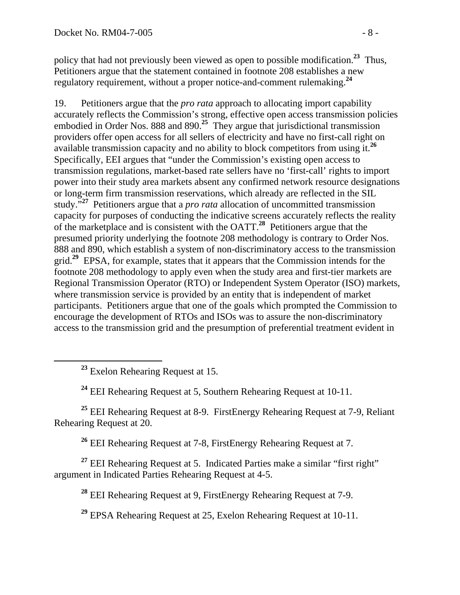policy that had not previously been viewed as open to possible modification.**<sup>23</sup>** Thus, Petitioners argue that the statement contained in footnote 208 establishes a new regulatory requirement, without a proper notice-and-comment rulemaking.**<sup>24</sup>**

19. Petitioners argue that the *pro rata* approach to allocating import capability accurately reflects the Commission's strong, effective open access transmission policies embodied in Order Nos. 888 and 890.**<sup>25</sup>** They argue that jurisdictional transmission providers offer open access for all sellers of electricity and have no first-call right on available transmission capacity and no ability to block competitors from using it.**<sup>26</sup>** Specifically, EEI argues that "under the Commission's existing open access to transmission regulations, market-based rate sellers have no 'first-call' rights to import power into their study area markets absent any confirmed network resource designations or long-term firm transmission reservations, which already are reflected in the SIL study."**<sup>27</sup>** Petitioners argue that a *pro rata* allocation of uncommitted transmission capacity for purposes of conducting the indicative screens accurately reflects the reality of the marketplace and is consistent with the OATT.**<sup>28</sup>** Petitioners argue that the presumed priority underlying the footnote 208 methodology is contrary to Order Nos. 888 and 890, which establish a system of non-discriminatory access to the transmission grid.**<sup>29</sup>** EPSA, for example, states that it appears that the Commission intends for the footnote 208 methodology to apply even when the study area and first-tier markets are Regional Transmission Operator (RTO) or Independent System Operator (ISO) markets, where transmission service is provided by an entity that is independent of market participants. Petitioners argue that one of the goals which prompted the Commission to encourage the development of RTOs and ISOs was to assure the non-discriminatory access to the transmission grid and the presumption of preferential treatment evident in

**<sup>23</sup>** Exelon Rehearing Request at 15.

**<sup>24</sup>** EEI Rehearing Request at 5, Southern Rehearing Request at 10-11.

**<sup>25</sup>** EEI Rehearing Request at 8-9. FirstEnergy Rehearing Request at 7-9, Reliant Rehearing Request at 20.

**<sup>26</sup>** EEI Rehearing Request at 7-8, FirstEnergy Rehearing Request at 7.

<sup>27</sup> EEI Rehearing Request at 5. Indicated Parties make a similar "first right" argument in Indicated Parties Rehearing Request at 4-5.

**<sup>28</sup>** EEI Rehearing Request at 9, FirstEnergy Rehearing Request at 7-9.

**<sup>29</sup>** EPSA Rehearing Request at 25, Exelon Rehearing Request at 10-11.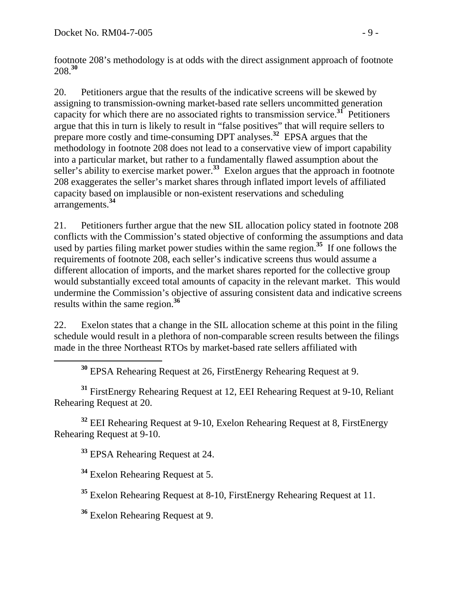footnote 208's methodology is at odds with the direct assignment approach of footnote 208.**<sup>30</sup>**

20. Petitioners argue that the results of the indicative screens will be skewed by assigning to transmission-owning market-based rate sellers uncommitted generation capacity for which there are no associated rights to transmission service.**<sup>31</sup>** Petitioners argue that this in turn is likely to result in "false positives" that will require sellers to prepare more costly and time-consuming DPT analyses.**<sup>32</sup>** EPSA argues that the methodology in footnote 208 does not lead to a conservative view of import capability into a particular market, but rather to a fundamentally flawed assumption about the seller's ability to exercise market power.**<sup>33</sup>** Exelon argues that the approach in footnote 208 exaggerates the seller's market shares through inflated import levels of affiliated capacity based on implausible or non-existent reservations and scheduling arrangements.**<sup>34</sup>**

21. Petitioners further argue that the new SIL allocation policy stated in footnote 208 conflicts with the Commission's stated objective of conforming the assumptions and data used by parties filing market power studies within the same region.**<sup>35</sup>** If one follows the requirements of footnote 208, each seller's indicative screens thus would assume a different allocation of imports, and the market shares reported for the collective group would substantially exceed total amounts of capacity in the relevant market. This would undermine the Commission's objective of assuring consistent data and indicative screens results within the same region.**<sup>36</sup>**

22. Exelon states that a change in the SIL allocation scheme at this point in the filing schedule would result in a plethora of non-comparable screen results between the filings made in the three Northeast RTOs by market-based rate sellers affiliated with

**<sup>30</sup>** EPSA Rehearing Request at 26, FirstEnergy Rehearing Request at 9.

**<sup>31</sup>** FirstEnergy Rehearing Request at 12, EEI Rehearing Request at 9-10, Reliant Rehearing Request at 20.

**<sup>32</sup>** EEI Rehearing Request at 9-10, Exelon Rehearing Request at 8, FirstEnergy Rehearing Request at 9-10.

**<sup>33</sup>** EPSA Rehearing Request at 24.

**<sup>34</sup>** Exelon Rehearing Request at 5.

**<sup>35</sup>** Exelon Rehearing Request at 8-10, FirstEnergy Rehearing Request at 11.

**<sup>36</sup>** Exelon Rehearing Request at 9.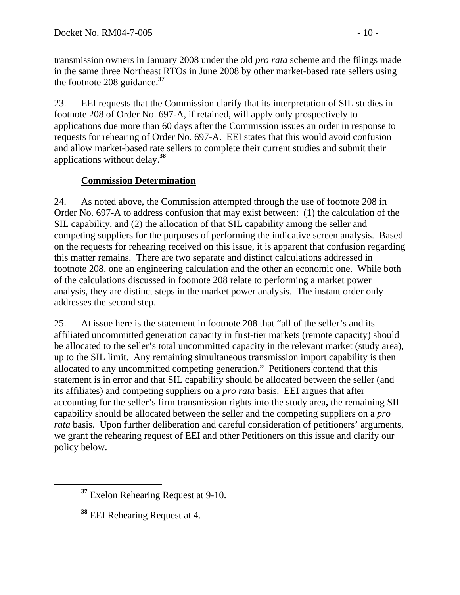transmission owners in January 2008 under the old *pro rata* scheme and the filings made in the same three Northeast RTOs in June 2008 by other market-based rate sellers using the footnote 208 guidance.**<sup>37</sup>**

23. EEI requests that the Commission clarify that its interpretation of SIL studies in footnote 208 of Order No. 697-A, if retained, will apply only prospectively to applications due more than 60 days after the Commission issues an order in response to requests for rehearing of Order No. 697-A. EEI states that this would avoid confusion and allow market-based rate sellers to complete their current studies and submit their applications without delay.**<sup>38</sup>**

# **Commission Determination**

24. As noted above, the Commission attempted through the use of footnote 208 in Order No. 697-A to address confusion that may exist between: (1) the calculation of the SIL capability, and (2) the allocation of that SIL capability among the seller and competing suppliers for the purposes of performing the indicative screen analysis. Based on the requests for rehearing received on this issue, it is apparent that confusion regarding this matter remains. There are two separate and distinct calculations addressed in footnote 208, one an engineering calculation and the other an economic one. While both of the calculations discussed in footnote 208 relate to performing a market power analysis, they are distinct steps in the market power analysis. The instant order only addresses the second step.

25. At issue here is the statement in footnote 208 that "all of the seller's and its affiliated uncommitted generation capacity in first-tier markets (remote capacity) should be allocated to the seller's total uncommitted capacity in the relevant market (study area), up to the SIL limit. Any remaining simultaneous transmission import capability is then allocated to any uncommitted competing generation." Petitioners contend that this statement is in error and that SIL capability should be allocated between the seller (and its affiliates) and competing suppliers on a *pro rata* basis. EEI argues that after accounting for the seller's firm transmission rights into the study area**,** the remaining SIL capability should be allocated between the seller and the competing suppliers on a *pro rata* basis. Upon further deliberation and careful consideration of petitioners' arguments, we grant the rehearing request of EEI and other Petitioners on this issue and clarify our policy below.

**<sup>37</sup>** Exelon Rehearing Request at 9-10.

**<sup>38</sup>** EEI Rehearing Request at 4.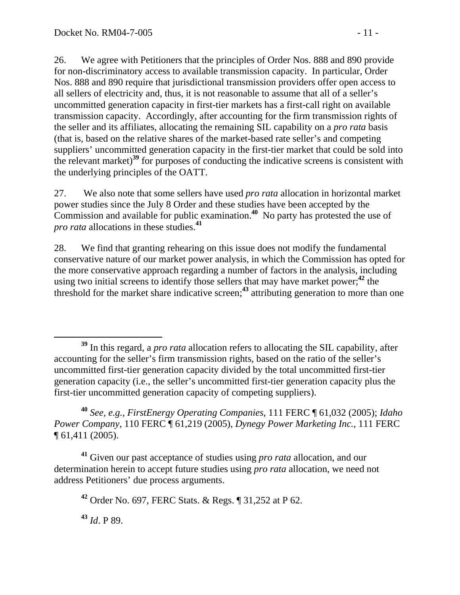26. We agree with Petitioners that the principles of Order Nos. 888 and 890 provide for non-discriminatory access to available transmission capacity. In particular, Order Nos. 888 and 890 require that jurisdictional transmission providers offer open access to all sellers of electricity and, thus, it is not reasonable to assume that all of a seller's uncommitted generation capacity in first-tier markets has a first-call right on available transmission capacity. Accordingly, after accounting for the firm transmission rights of the seller and its affiliates, allocating the remaining SIL capability on a *pro rata* basis (that is, based on the relative shares of the market-based rate seller's and competing suppliers' uncommitted generation capacity in the first-tier market that could be sold into the relevant market)**<sup>39</sup>** for purposes of conducting the indicative screens is consistent with the underlying principles of the OATT.

27. We also note that some sellers have used *pro rata* allocation in horizontal market power studies since the July 8 Order and these studies have been accepted by the Commission and available for public examination.**<sup>40</sup>** No party has protested the use of *pro rata* allocations in these studies.**<sup>41</sup>**

28. We find that granting rehearing on this issue does not modify the fundamental conservative nature of our market power analysis, in which the Commission has opted for the more conservative approach regarding a number of factors in the analysis, including using two initial screens to identify those sellers that may have market power;**<sup>42</sup>** the threshold for the market share indicative screen;**<sup>43</sup>** attributing generation to more than one

**<sup>40</sup>** *See, e.g.*, *FirstEnergy Operating Companies*, 111 FERC ¶ 61,032 (2005); *Idaho Power Company*, 110 FERC ¶ 61,219 (2005), *Dynegy Power Marketing Inc.*, 111 FERC ¶ 61,411 (2005).

**<sup>41</sup>** Given our past acceptance of studies using *pro rata* allocation, and our determination herein to accept future studies using *pro rata* allocation, we need not address Petitioners' due process arguments.

**<sup>42</sup>** Order No. 697, FERC Stats. & Regs. ¶ 31,252 at P 62.

**<sup>43</sup>** *Id*. P 89.

**<sup>39</sup>** In this regard, a *pro rata* allocation refers to allocating the SIL capability, after accounting for the seller's firm transmission rights, based on the ratio of the seller's uncommitted first-tier generation capacity divided by the total uncommitted first-tier generation capacity (i.e., the seller's uncommitted first-tier generation capacity plus the first-tier uncommitted generation capacity of competing suppliers).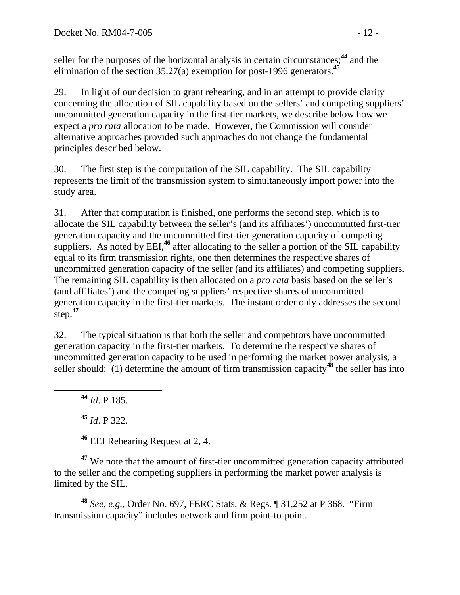seller for the purposes of the horizontal analysis in certain circumstances;**<sup>44</sup>** and the elimination of the section 35.27(a) exemption for post-1996 generators.**<sup>45</sup>**

29. In light of our decision to grant rehearing, and in an attempt to provide clarity concerning the allocation of SIL capability based on the sellers' and competing suppliers' uncommitted generation capacity in the first-tier markets, we describe below how we expect a *pro rata* allocation to be made. However, the Commission will consider alternative approaches provided such approaches do not change the fundamental principles described below.

30. The first step is the computation of the SIL capability. The SIL capability represents the limit of the transmission system to simultaneously import power into the study area.

31. After that computation is finished, one performs the second step, which is to allocate the SIL capability between the seller's (and its affiliates') uncommitted first-tier generation capacity and the uncommitted first-tier generation capacity of competing suppliers. As noted by EEI,<sup>46</sup> after allocating to the seller a portion of the SIL capability equal to its firm transmission rights, one then determines the respective shares of uncommitted generation capacity of the seller (and its affiliates) and competing suppliers. The remaining SIL capability is then allocated on a *pro rata* basis based on the seller's (and affiliates') and the competing suppliers' respective shares of uncommitted generation capacity in the first-tier markets. The instant order only addresses the second step.**<sup>47</sup>**

32. The typical situation is that both the seller and competitors have uncommitted generation capacity in the first-tier markets. To determine the respective shares of uncommitted generation capacity to be used in performing the market power analysis, a seller should: (1) determine the amount of firm transmission capacity**<sup>48</sup>** the seller has into

**<sup>44</sup>** *Id*. P 185.

**<sup>45</sup>** *Id*. P 322.

**<sup>46</sup>** EEI Rehearing Request at 2, 4.

**<sup>47</sup>** We note that the amount of first-tier uncommitted generation capacity attributed to the seller and the competing suppliers in performing the market power analysis is limited by the SIL.

**<sup>48</sup>** *See*, *e.g.,* Order No. 697, FERC Stats. & Regs. ¶ 31,252 at P 368. "Firm transmission capacity" includes network and firm point-to-point.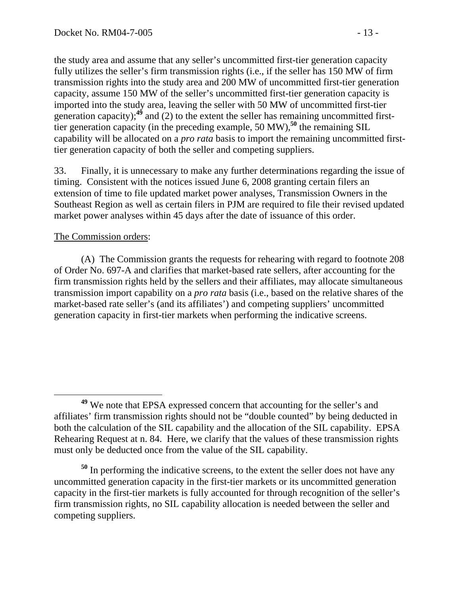the study area and assume that any seller's uncommitted first-tier generation capacity fully utilizes the seller's firm transmission rights (i.e., if the seller has 150 MW of firm transmission rights into the study area and 200 MW of uncommitted first-tier generation capacity, assume 150 MW of the seller's uncommitted first-tier generation capacity is imported into the study area, leaving the seller with 50 MW of uncommitted first-tier generation capacity);<sup>49</sup> and (2) to the extent the seller has remaining uncommitted firsttier generation capacity (in the preceding example, 50 MW),**<sup>50</sup>** the remaining SIL capability will be allocated on a *pro rata* basis to import the remaining uncommitted firsttier generation capacity of both the seller and competing suppliers.

33. Finally, it is unnecessary to make any further determinations regarding the issue of timing. Consistent with the notices issued June 6, 2008 granting certain filers an extension of time to file updated market power analyses, Transmission Owners in the Southeast Region as well as certain filers in PJM are required to file their revised updated market power analyses within 45 days after the date of issuance of this order.

### The Commission orders:

(A) The Commission grants the requests for rehearing with regard to footnote 208 of Order No. 697-A and clarifies that market-based rate sellers, after accounting for the firm transmission rights held by the sellers and their affiliates, may allocate simultaneous transmission import capability on a *pro rata* basis (i.e., based on the relative shares of the market-based rate seller's (and its affiliates') and competing suppliers' uncommitted generation capacity in first-tier markets when performing the indicative screens.

**<sup>49</sup>** We note that EPSA expressed concern that accounting for the seller's and affiliates' firm transmission rights should not be "double counted" by being deducted in both the calculation of the SIL capability and the allocation of the SIL capability. EPSA Rehearing Request at n. 84. Here, we clarify that the values of these transmission rights must only be deducted once from the value of the SIL capability.

**<sup>50</sup>** In performing the indicative screens, to the extent the seller does not have any uncommitted generation capacity in the first-tier markets or its uncommitted generation capacity in the first-tier markets is fully accounted for through recognition of the seller's firm transmission rights, no SIL capability allocation is needed between the seller and competing suppliers.